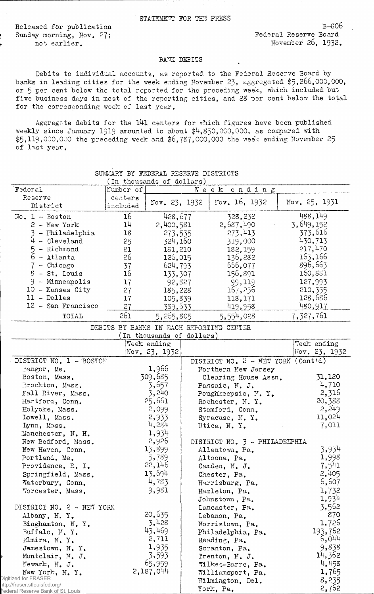Released for publication<br>
Sunday morning, Nov. 27:<br>
Federal Reserve Board Sunday morning, Nov. 27;

*f* not earlier. The contract of the movement 26, 1932.

## BANK DEBITS

Debits to individual accounts, as reported to the Federal Reserve Board by banks in leading cities for the week ending November 23, aggregated \$5,266,000,000, or 5 per cent below the total reported for the preceding week, which included but five business days in most of the reporting cities, and 28 per cent below the total for the corresponding week of last year.

Aggregate debits for the l4l centers for which figures have been published weekly since January 1919 amounted to about \$4,350,000,000, as compared with  $$5,119,000,000$  the preceding week and  $$6,787,000,000$  the week ending November 25 of last year.

|                                        |           | Th enousance or corrers)  |                                             |               |
|----------------------------------------|-----------|---------------------------|---------------------------------------------|---------------|
| Federal                                | Number of |                           | Week ending                                 |               |
| Reserve                                | centers   |                           |                                             |               |
| District                               | included  | $\text{Nov. } 23, 1932$   | Nov. 16, 1932                               | Nov. 25, 1931 |
| $No. 1 - Boston$                       | 16        | 428,677                   | 328,232                                     | 488,149       |
| $2$ - New York                         | 14        | 2,400,581                 | 2,687,490                                   | 3,649,152     |
| 3 - Philadelphia                       | 18        | 273,535                   | 273,413                                     | 373,616       |
| $4 - Cleveland$                        | 25        | 324,160                   | 319,000                                     | 430,713       |
| - Richmond                             | 21        | 181,210                   | 182,159                                     | 217,470       |
| $6 - \text{Atlanta}$                   | 26        | 126,015                   | 136,282                                     | 163,166       |
| 7 - Chicago                            | 37        | 624,793                   | 656,077                                     | 896,663       |
| $8$ - St. Louis                        | 16        |                           | 156,891                                     | 160,881       |
| $9 -$ Minneapolis                      |           | 133,307                   | 99,119                                      | 127,993       |
| 10 - Kansas City                       | 17        | 92,827                    |                                             |               |
| $11 - Dallas$                          | 27        | 185,228                   | 167,236                                     | 210, 355      |
|                                        | 17        | 105,839                   | 118,171                                     | 128,686       |
| 12 - San Francisco                     | 27        | 389,633                   | 419,958                                     | 480,917       |
| TOTAL                                  | 261       | 5,265,805                 | 5,554,028                                   | 7,327,761     |
|                                        |           |                           | DEBITS BY BANKS IN EACH REPORTING CENTER    |               |
|                                        |           | (In thousands of dollars) |                                             |               |
|                                        |           | Week ending               |                                             | Week ending   |
|                                        |           | Nov. 23, 1932             |                                             | Vov. 23, 1932 |
| DISTRICT NO. 1 - BOSTON                |           |                           | DISTRICT NO. $2 - \text{NET}$ YORK (Contid) |               |
| Bangor, Me.                            |           | 1,966                     | Northern New Jersey                         |               |
| Boston, Mass.                          |           | 309,685                   | Clearing House Assn.                        | 31,120        |
| Brockton, Mass.                        |           | 3,657                     | Passaic, N. J.                              | 4,710         |
| Fall River, Mass.                      |           | 3,240                     | Poughkeepsie, N.Y.                          | 2,316         |
| Hartford, Conn.                        |           | 25,661                    | Rochester, N.Y.                             | 20,388        |
| Holyoke, Mass.                         |           | 2,099                     | Stamford, Conn.                             | 2,243         |
| Lowell, Mass.                          |           | 2,933                     | Syracuse, N.Y.                              | 11,024        |
| Lynn, Mass.                            |           | 4,284                     | Utica, N.Y.                                 | 7,011         |
| Manchester, N. H.                      |           | 1,934                     |                                             |               |
| New Bedford, Mass.                     |           | 2,926                     | DISTRICT NO. 3 - PHILADELPHIA               |               |
| New Haven, Conn.                       |           | 13,899                    | Allentown, Pa.                              | 3,934         |
| Portland, Me.                          |           | 5,789                     | Altoona, Pa.                                | 1,998         |
| Providence, R. I.                      |           | 22,146                    | Camden, N. J.                               | 7,541         |
| Springfield, Mass.                     |           | 13,694                    | Chester, Pa.                                | 2,405         |
| Waterbury, Conn.                       |           | 4,783                     | Harrisburg, Pa.                             | 6,607         |
| Worcester, Mass.                       |           | 9,981                     | Hazleton, Pa.                               | 1,732         |
|                                        |           |                           | Johnstown, Pa.                              | 1,934         |
| DISTRICT NO. 2 - NEW YORK              |           |                           | Lancaster, Pa.                              | 3,562         |
|                                        |           | 20,635                    |                                             | 870           |
| Albany, N.Y.                           |           | 3,428                     | Lebanon, Pa.                                | 1,726         |
| Binghamton, N.Y.                       |           | 43,469                    | Norristown, Pa.                             | 193,762       |
| Buffalo, N.Y.                          |           | 2,711                     | Philadelphia, Pa.                           | 6,044         |
| Elmira, N.Y.                           |           | 1,935                     | Reading, Pa.                                |               |
| Jamestown, N.Y.                        |           |                           | Scranton, Pa.                               | 9,838         |
| Montclair, N. J.                       |           | 3,593                     | Trenton, N. J.                              | 14,362        |
| Newark, N. J.                          |           | 65,959                    | Wilkes-Barre, Pa.                           | 4,458         |
| New York, N.Y.<br>Digitized for FRASER |           | 2,187,044                 | Williamsport, Pa.                           | 1,765         |
| http://fraser.stlouisfed.org/          |           |                           | Wilmington, Del.                            | 8,235         |
| Federal Reserve Bank of St. Louis      |           |                           | York, Pa.                                   | 2,762         |

## SUMMARY BY FEDERAL RESERVE DISTRICTS (in thousands of dollars)\_\_\_\_\_\_\_\_\_\_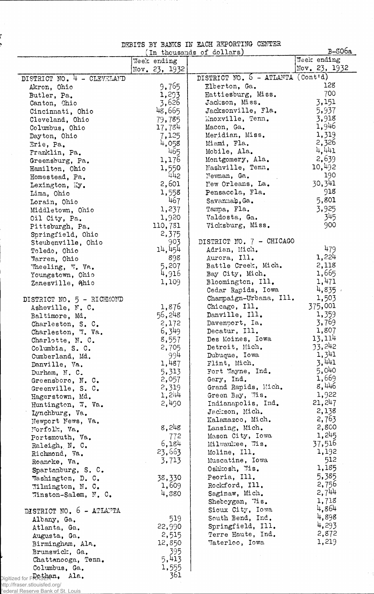|  |  | DEBITS BY BANKS IN EACH REPORTING CENTER |  |
|--|--|------------------------------------------|--|
|  |  | (In thousands of dollars)                |  |

|                                                                    |               | numito ni numuno tu macui matometua<br>(In thousands of dollars) | $B-506a$        |
|--------------------------------------------------------------------|---------------|------------------------------------------------------------------|-----------------|
|                                                                    | Week ending   |                                                                  | Week ending     |
|                                                                    | Nov. 23, 1932 |                                                                  | Nov. $23, 1932$ |
| DISTRICT NO. 4 - CLEVELAND                                         |               | DISTRICT NO. 6 - ATLANTA (Cont'd)                                |                 |
| Akron, Ohio                                                        | 9,765         | Elberton, Ga.                                                    | 128             |
| Butler, Pa.                                                        | 1,293         | Hattiesburg, Miss.                                               | 700             |
| Canton, Ohio                                                       | 3,626         | Jackson, Miss.                                                   | 3,151           |
| Cincinnati, Ohio                                                   | 48,665        | Jacksonville, Fla.                                               | 5,937           |
| Cleveland, Ohio                                                    | 79,785        | Knoxville, Tenn.                                                 | 3,918           |
| Columbus, Ohio                                                     | 17,784        | Macon, Ga.                                                       | 1,946           |
| Dayton, Ohio                                                       | 7,125         | Meridian, Miss.                                                  | 1,319           |
| Erie, Pa.                                                          | 4,058         | Miami, Fla.                                                      | 2,326           |
| Franklin, Pa.                                                      | 465           | Mobile, Ala.                                                     | 4,441           |
| Greensburg, Pa.                                                    | 1,176         | Montgomery, Ala.                                                 | 2,639           |
| Hamilton, Ohio                                                     | 1,550         | Nashville, Tenn.                                                 | 10,492          |
| Homestead, Pa.                                                     | 442           | Newman, Ga.                                                      | 190             |
| Lexington, Ky.                                                     | 2,601         | New Orleans, La.                                                 | 30,341          |
| Lima, Ohio                                                         | 1,558         | Pensacola, Fla.                                                  | 918             |
| Lorain, Ohio                                                       | 467           | Savannah, Ga.                                                    | 5,801           |
| Middletown, Ohio                                                   | 1,237         | Tampa, Fla.                                                      | 3,925           |
| Oil City, Pa.                                                      | 1,920         | Valdosta, Ga.                                                    | 345             |
| Pittsburgh, Pa.                                                    | 110,731       | Vicksburg, Miss.                                                 | 900             |
| Springfield, Ohio                                                  | 2,375         |                                                                  |                 |
| Steubenville, Ohio                                                 | 903           | DISTRICT NO. 7 - CHICAGO                                         |                 |
| Toledo, Ohio                                                       | 14,454        | Adrian, Mich.                                                    | 479             |
| Warren, Ohio                                                       | 898           | Aurora, Ill.                                                     | 1,224           |
| Wheeling, W. Va.                                                   | 5,207         | Battle Creek, Mich.                                              | 2,118           |
| Youngstown, Ohio                                                   | 4,916         | Bay City, Mich.                                                  | 1,665           |
| Zanesville, Ahio                                                   | 1,109         | Bloomington, Ill.                                                | 1,471           |
|                                                                    |               | Cedar Rapids, Iowa                                               | 4,835           |
| DISTRICT NO. 5 - RICHMOND                                          |               | Champaign-Urbana, Ill.                                           | 1,503           |
| Asheville, N. C.                                                   | 1,876         | Chicago, Ill.                                                    | 375,001         |
| Baltimore, Md.                                                     | 56,248        | Danville, Ill.                                                   | 1,359           |
| Charleston, S. C.                                                  | 2,172         | Davenport, Ia.                                                   | 3,769           |
| Charleston, W. Va.                                                 | 6,349         | Decatur, Ill.                                                    | 1,807           |
| Charlotte, N.C.                                                    | 8,557         | Des Moines, Iowa                                                 | 13,114          |
| Columbia, S. C.                                                    | 2,705         | Detroit, Mich.                                                   | 33,242          |
| Cumberland, Md.                                                    | 994           | Dubuque, Iowa                                                    | 1,341           |
| Danville, Va.                                                      | 1,487         | Flint, Mich.                                                     | 3,441           |
| Durham, N. C.                                                      | 5,313         | Fort Wayne, Ind.                                                 | 5,040           |
| Greensboro, N. C.                                                  | 2,057         | Gary, Ind.                                                       | 1,669           |
| Greenville, S. C.                                                  | 2,319         | Grand Rapids, Mich.                                              | 8,446           |
| Hagerstown, Md.                                                    | 1,244         | Green Bay, Wis.                                                  | 1,922           |
| Huntington, W. Va.                                                 | 2,490         | Indianapolis, Ind.                                               | 21, 247         |
| Lynchburg, Va.                                                     |               | Jackson, Mich.                                                   | 2,138           |
| Newport News, Va.                                                  |               | Kalamazoo, Mich.                                                 | 2,763           |
| Norfolk, Va.                                                       | 8,248         | Lansing, Mich.                                                   | 2,800           |
| Portsmouth, Va.                                                    | 772           | Mason City, Iowa                                                 | 1,245           |
| Raleigh, N. C.                                                     | 6,184         | Milwaukee, Wis.                                                  | 37,516          |
| Richmond, Va.                                                      | 23,663        | Moline, Ill.                                                     | 1,192           |
| Roancke, Va.                                                       | 3,713         | Muscatine, Iowa                                                  | 512             |
| Spartanburg, S. C.                                                 |               | Oshkosh, Wis.                                                    | 1,185           |
|                                                                    | 38,330        | Peoria, Ill.                                                     | 5,385           |
| Washington, D. C.                                                  | 1,609         | Rockford, Ill.                                                   | 2,756           |
| Wilmington, N. C.                                                  | 4,880         | Saginaw, Mich.                                                   | 2,744           |
| Winston-Salem, N. C.                                               |               | Sheboygan, 7is.                                                  | 1,718           |
|                                                                    |               | Sioux City, Iowa                                                 | 4,864           |
| DISTRICT NO. 6 - ATLANTA                                           |               | South Bend, Ind.                                                 | 4,898           |
| Albany, Ga.                                                        | 519           | Springfield, Ill.                                                | 4,293           |
| Atlanta, Ga.                                                       | 22,990        | Terre Haute, Ind.                                                | 2,872           |
| Augusta, Ga.                                                       | 2,515         |                                                                  | 1,219           |
| Birmingham, Ala.                                                   | 12,850        | Taterloo, Iowa                                                   |                 |
| Brunswick, Ga.                                                     | 395           |                                                                  |                 |
| Chattanooga, Tenn.                                                 | 5,413         |                                                                  |                 |
| Columbus, Ga.                                                      | 1,555         |                                                                  |                 |
| Digitized for F <b>RRSEP.an.</b><br>Ala.                           | 361           |                                                                  |                 |
| http://fraser.stlouisfed.org/<br>Federal Reserve Bank of St. Louis |               |                                                                  |                 |
|                                                                    |               |                                                                  |                 |

 $\sim$   $\beta$ 

i<br>4